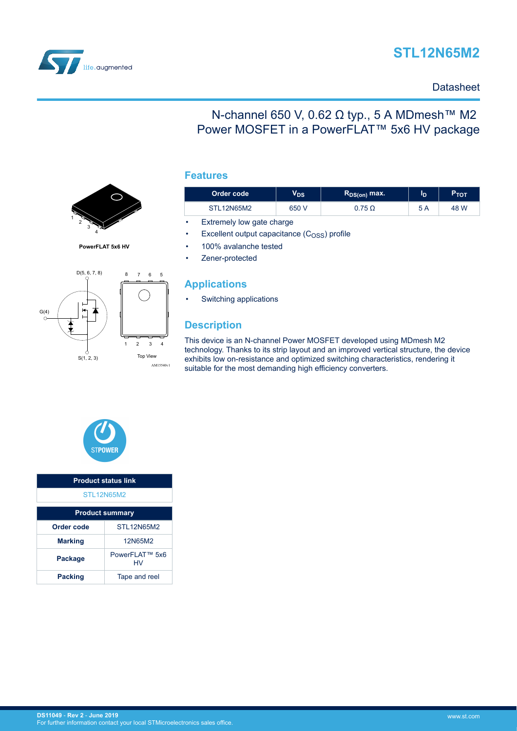



1 2 3 4 **PowerFLAT 5x6 HV**

D(5, 6, 7, 8)

### **Datasheet**

## N-channel 650 V, 0.62 Ω typ., 5 A MDmesh™ M2 Power MOSFET in a PowerFLAT™ 5x6 HV package



| Order code | $V_{DS}$ |               | ١D  | $P_{\text{TOT}}$ |  |
|------------|----------|---------------|-----|------------------|--|
| STL12N65M2 | 650 V    | 0.75 $\Omega$ | 5 A | 48 W             |  |

Extremely low gate charge

Excellent output capacitance  $(C<sub>OSS</sub>)$  profile

• 100% avalanche tested

Zener-protected

### **Applications**

• Switching applications

### **Description**

This device is an N-channel Power MOSFET developed using MDmesh M2 technology. Thanks to its strip layout and an improved vertical structure, the device exhibits low on-resistance and optimized switching characteristics, rendering it suitable for the most demanding high efficiency converters.



| <b>Product status link</b>       |                       |  |
|----------------------------------|-----------------------|--|
| <b>STL12N65M2</b>                |                       |  |
| <b>Product summary</b>           |                       |  |
| <b>STI 12N65M2</b><br>Order code |                       |  |
| <b>Marking</b>                   | 12N65M2               |  |
| Package                          | PowerFI AT™ 5x6<br>HV |  |
| <b>Packing</b>                   | Tape and reel         |  |



8 7 6 5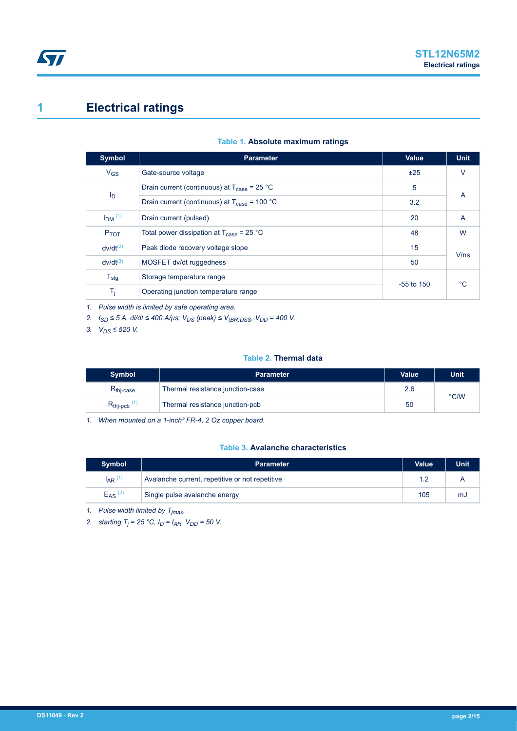# <span id="page-1-0"></span>**1 Electrical ratings**

| Table 1. Absolute maximum ratings |  |  |
|-----------------------------------|--|--|
|-----------------------------------|--|--|

| <b>Symbol</b>        | <b>Parameter</b>                                                | <b>Value</b> | <b>Unit</b> |
|----------------------|-----------------------------------------------------------------|--------------|-------------|
| $V_{GS}$             | Gate-source voltage                                             | ±25          | $\vee$      |
|                      | Drain current (continuous) at $T_{\text{case}} = 25 \text{ °C}$ | 5            | A           |
| I <sub>D</sub>       | Drain current (continuous) at $T_{\text{case}}$ = 100 °C        | 3.2          |             |
| $IDM$ <sup>(1)</sup> | Drain current (pulsed)                                          | 20           | A           |
| <b>P</b> TOT         | Total power dissipation at $T_{\text{case}}$ = 25 °C            | 48           | W           |
| $dv/dt^{(2)}$        | Peak diode recovery voltage slope                               | 15           | V/ns        |
| $dv/dt^{(3)}$        | MOSFET dv/dt ruggedness                                         | 50           |             |
| $T_{\text{stg}}$     | Storage temperature range                                       |              | °C          |
| T <sub>j</sub>       | Operating junction temperature range                            | $-55$ to 150 |             |

*1. Pulse width is limited by safe operating area.*

*2. ISD ≤ 5 A, di/dt ≤ 400 A/μs; VDS (peak) ≤ V(BR)DSS, VDD = 400 V.*

*3. VDS ≤ 520 V.*

#### **Table 2. Thermal data**

| Symbol                           | <b>Parameter</b>                 | <b>Value</b> |               |  |  |
|----------------------------------|----------------------------------|--------------|---------------|--|--|
| $R_{\text{thi-case}}$            | Thermal resistance junction-case | 2.6          | $\degree$ C/W |  |  |
| $R_{\text{thip}}$ <sub>(1)</sub> | Thermal resistance junction-pcb  | 50           |               |  |  |

*1. When mounted on a 1-inch² FR-4, 2 Oz copper board.*

### **Table 3. Avalanche characteristics**

| <b>Symbol</b>           | <b>Parameter</b>                                | <b>Value</b> | <b>Unit</b> |
|-------------------------|-------------------------------------------------|--------------|-------------|
| $I_{AR}$ $(1)$          | Avalanche current, repetitive or not repetitive | 1.2          |             |
| $E_{AS}$ <sup>(2)</sup> | Single pulse avalanche energy                   | 105          | mJ          |

*1. Pulse width limited by Tjmax.*

*2. starting T<sup>j</sup> = 25 °C, ID = IAR, VDD = 50 V.*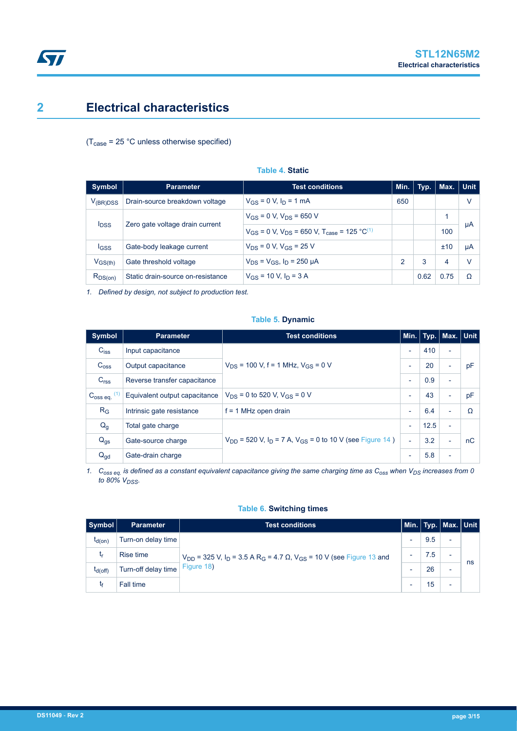# <span id="page-2-0"></span>**2 Electrical characteristics**

 $(T_{\text{case}} = 25 \text{ °C}$  unless otherwise specified)

| <b>Symbol</b>           | <b>Parameter</b>                  | <b>Test conditions</b>                                               | Min. | Typ. | Max. | $\vert$ Unit |
|-------------------------|-----------------------------------|----------------------------------------------------------------------|------|------|------|--------------|
| V <sub>(BR)DSS</sub>    | Drain-source breakdown voltage    | $V_{GS} = 0$ V, $I_D = 1$ mA                                         | 650  |      |      | ٧            |
|                         |                                   | $V_{GS}$ = 0 V, $V_{DS}$ = 650 V                                     |      |      |      |              |
| <b>I</b> <sub>DSS</sub> | Zero gate voltage drain current   | $V_{GS}$ = 0 V, $V_{DS}$ = 650 V, $T_{case}$ = 125 °C <sup>(1)</sup> |      |      | 100  | μA           |
| <b>IGSS</b>             | Gate-body leakage current         | $V_{DS} = 0 V$ , $V_{GS} = 25 V$                                     |      |      | ±10  | μA           |
| $V_{GS(th)}$            | Gate threshold voltage            | $V_{DS} = V_{GS}$ , $I_D = 250 \mu A$                                | 2    | 3    | 4    | $\vee$       |
| $R_{DS(on)}$            | Static drain-source on-resistance | $V_{GS}$ = 10 V, $I_D$ = 3 A                                         |      | 0.62 | 0.75 | Ω            |

**Table 4. Static**

*1. Defined by design, not subject to production test.*

### **Table 5. Dynamic**

| Symbol                               | <b>Test conditions</b><br><b>Parameter</b> |                                                                                            |                          |      | Min. Typ.   Max.   Unit |    |
|--------------------------------------|--------------------------------------------|--------------------------------------------------------------------------------------------|--------------------------|------|-------------------------|----|
| $C_{iss}$                            | Input capacitance                          |                                                                                            | ٠                        | 410  | -                       |    |
| C <sub>oss</sub>                     | Output capacitance                         | $V_{DS}$ = 100 V, f = 1 MHz, $V_{GS}$ = 0 V                                                |                          | 20   | ۰                       | pF |
| C <sub>rss</sub>                     | Reverse transfer capacitance               |                                                                                            | ٠                        | 0.9  | Ξ.                      |    |
| (1)<br>$C_{\rm OSS}$ eq. $^{\prime}$ | Equivalent output capacitance              | $V_{DS}$ = 0 to 520 V, $V_{GS}$ = 0 V                                                      | $\blacksquare$           | 43   | -                       | pF |
| $R_G$                                | Intrinsic gate resistance                  | $f = 1$ MHz open drain                                                                     | $\overline{\phantom{a}}$ | 6.4  | -                       | Ω  |
| $Q_g$                                | Total gate charge                          |                                                                                            | $\overline{\phantom{a}}$ | 12.5 | Ξ.                      |    |
| $Q_{gs}$                             | Gate-source charge                         | $V_{\text{DD}}$ = 520 V, I <sub>D</sub> = 7 A, V <sub>GS</sub> = 0 to 10 V (see Figure 14) | $\overline{\phantom{a}}$ | 3.2  | -                       | nC |
| $Q_{gd}$                             | Gate-drain charge                          |                                                                                            | ٠                        | 5.8  | -                       |    |

*1. Coss eq. is defined as a constant equivalent capacitance giving the same charging time as Coss when VDS increases from 0 to 80% VDSS.*

#### **Table 6. Switching times**

| Symbol |              | <b>Parameter</b>    | <b>Test conditions</b>                                                                                                   |     | Min.   Typ.   Max.   Unit |    |
|--------|--------------|---------------------|--------------------------------------------------------------------------------------------------------------------------|-----|---------------------------|----|
|        | $t_{d(on)}$  | Turn-on delay time  |                                                                                                                          | 9.5 | $\overline{\phantom{0}}$  |    |
|        |              | Rise time           | $V_{DD}$ = 325 V, I <sub>D</sub> = 3.5 A R <sub>G</sub> = 4.7 Ω, V <sub>GS</sub> = 10 V (see Figure 13 and<br>Figure 18) | 7.5 | $\overline{\phantom{0}}$  |    |
|        | $t_{d(Off)}$ | Turn-off delay time |                                                                                                                          | 26  | $\overline{\phantom{a}}$  | ns |
|        |              | Fall time           |                                                                                                                          | 15  | $\overline{\phantom{0}}$  |    |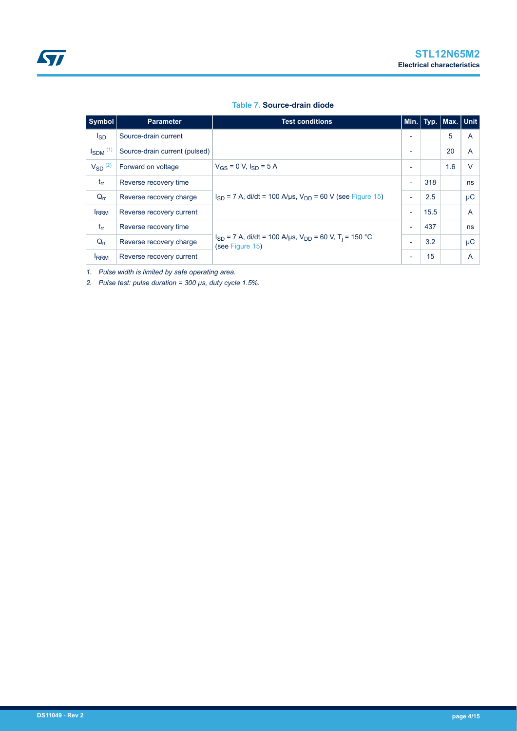#### **Table 7. Source-drain diode**

| Symbol                   | <b>Parameter</b>              | <b>Test conditions</b>                                                                               |                          |      | Min.   Typ.   Max. <u>  Unit_</u> |        |
|--------------------------|-------------------------------|------------------------------------------------------------------------------------------------------|--------------------------|------|-----------------------------------|--------|
| <sub>sD</sub>            | Source-drain current          |                                                                                                      | $\overline{\phantom{0}}$ |      | 5                                 | A      |
| $I_{SDM}$ <sup>(1)</sup> | Source-drain current (pulsed) |                                                                                                      | $\overline{\phantom{a}}$ |      | 20                                | A      |
| $V_{SD}$ <sup>(2)</sup>  | Forward on voltage            | $V_{GS} = 0$ V, $I_{SD} = 5$ A                                                                       | $\overline{\phantom{0}}$ |      | 1.6                               | $\vee$ |
| $t_{rr}$                 | Reverse recovery time         |                                                                                                      | $\overline{\phantom{0}}$ | 318  |                                   | ns     |
| $Q_{rr}$                 | Reverse recovery charge       | $I_{SD}$ = 7 A, di/dt = 100 A/µs, $V_{DD}$ = 60 V (see Figure 15)                                    |                          | 2.5  |                                   | μC     |
| <b>IRRM</b>              | Reverse recovery current      |                                                                                                      | $\overline{\phantom{a}}$ | 15.5 |                                   | A      |
| $t_{rr}$                 | Reverse recovery time         |                                                                                                      | ٠                        | 437  |                                   | ns     |
| $Q_{rr}$                 | Reverse recovery charge       | $I_{SD}$ = 7 A, di/dt = 100 A/µs, V <sub>DD</sub> = 60 V, T <sub>i</sub> = 150 °C<br>(see Figure 15) |                          | 3.2  |                                   | μC     |
| <b>IRRM</b>              | Reverse recovery current      |                                                                                                      |                          | 15   |                                   | A      |

*1. Pulse width is limited by safe operating area.*

*2. Pulse test: pulse duration = 300 µs, duty cycle 1.5%.*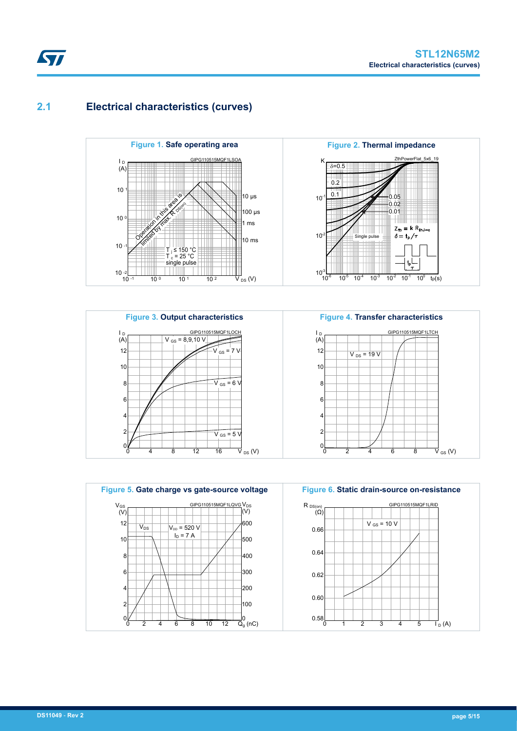## **2.1 Electrical characteristics (curves)**











<span id="page-4-0"></span>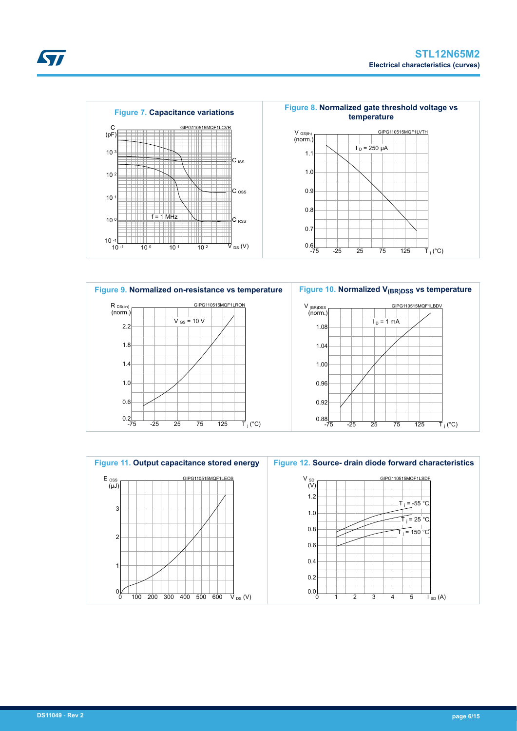





**STI**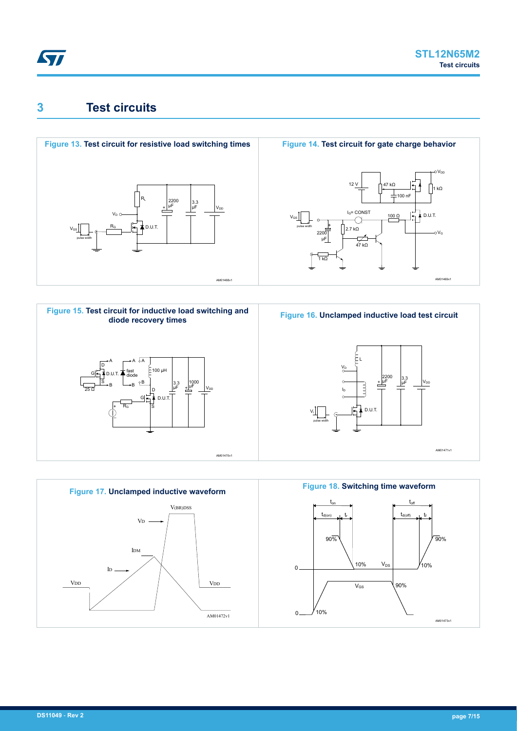<span id="page-6-0"></span>

## **3 Test circuits**











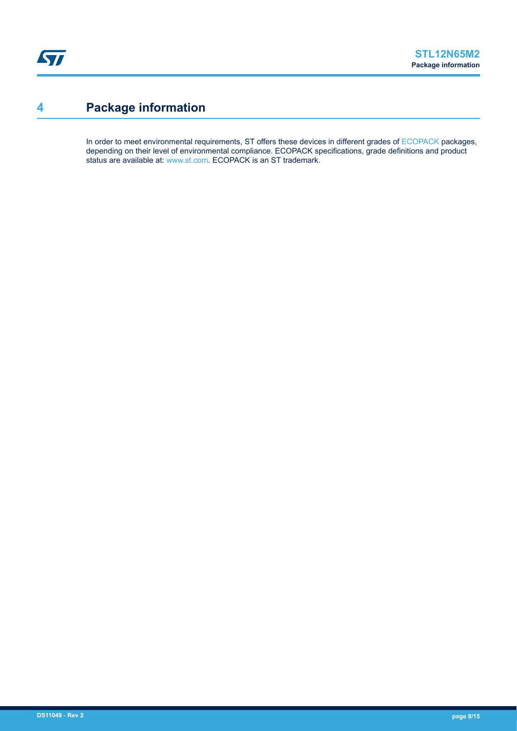# <span id="page-7-0"></span>**4 Package information**

In order to meet environmental requirements, ST offers these devices in different grades of [ECOPACK](https://www.st.com/ecopack) packages, depending on their level of environmental compliance. ECOPACK specifications, grade definitions and product status are available at: [www.st.com.](http://www.st.com) ECOPACK is an ST trademark.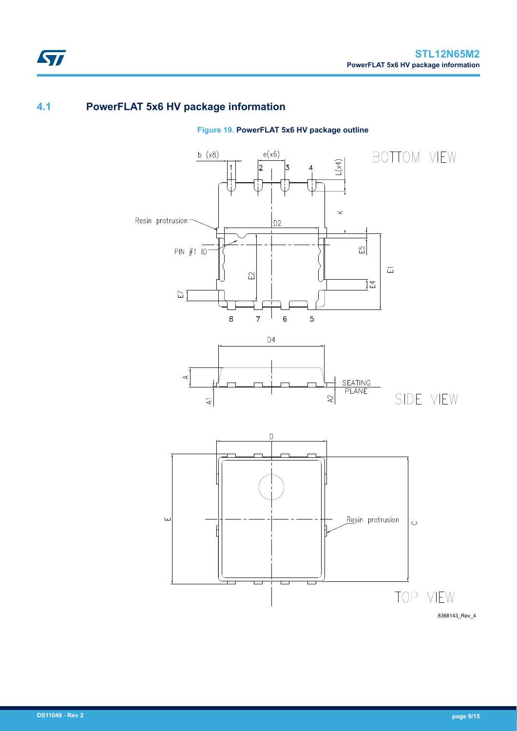## **4.1 PowerFLAT 5x6 HV package information**

ST



**Figure 19. PowerFLAT 5x6 HV package outline**

8368143\_Rev\_4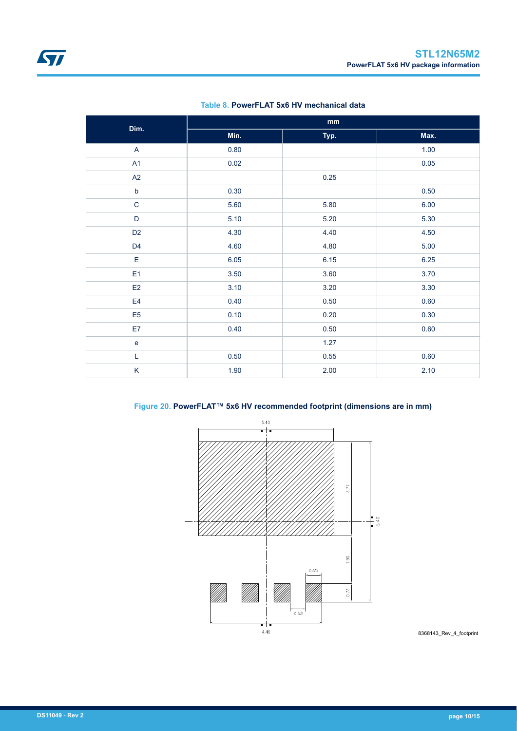<span id="page-9-0"></span>

| Dim.                              |      | $\mathop{\text{mm}}\nolimits$ |      |
|-----------------------------------|------|-------------------------------|------|
|                                   | Min. | Typ.                          | Max. |
| $\mathsf{A}$                      | 0.80 |                               | 1.00 |
| A1                                | 0.02 |                               | 0.05 |
| A2                                |      | 0.25                          |      |
| $\mathsf b$                       | 0.30 |                               | 0.50 |
| $\mathbf C$                       | 5.60 | 5.80                          | 6.00 |
| $\mathsf D$                       | 5.10 | 5.20                          | 5.30 |
| D <sub>2</sub>                    | 4.30 | 4.40                          | 4.50 |
| D <sub>4</sub>                    | 4.60 | 4.80                          | 5.00 |
| E                                 | 6.05 | 6.15                          | 6.25 |
| E <sub>1</sub>                    | 3.50 | 3.60                          | 3.70 |
| E2                                | 3.10 | 3.20                          | 3.30 |
| E4                                | 0.40 | 0.50                          | 0.60 |
| E <sub>5</sub>                    | 0.10 | 0.20                          | 0.30 |
| E7                                | 0.40 | 0.50                          | 0.60 |
| $\mathsf{e}% _{t}\left( t\right)$ |      | 1.27                          |      |
| L                                 | 0.50 | 0.55                          | 0.60 |
| K                                 | 1.90 | 2.00                          | 2.10 |

#### **Table 8. PowerFLAT 5x6 HV mechanical data**



### **Figure 20. PowerFLAT™ 5x6 HV recommended footprint (dimensions are in mm)**

8368143\_Rev\_4\_footprint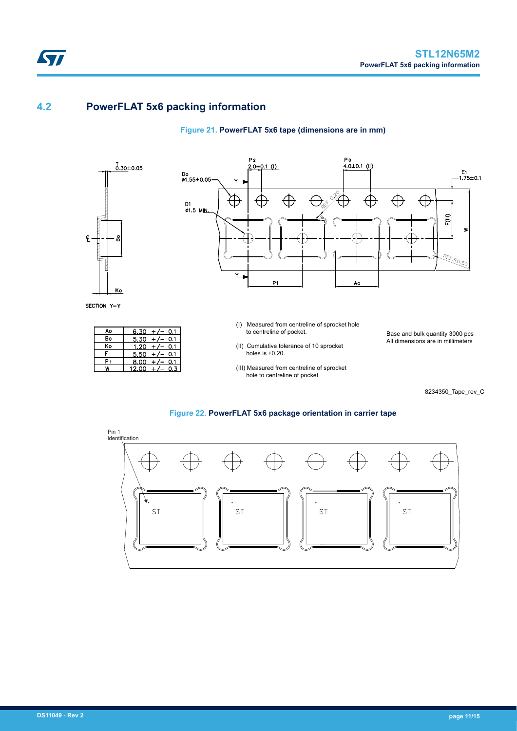## **4.2 PowerFLAT 5x6 packing information**

### **Figure 21. PowerFLAT 5x6 tape (dimensions are in mm)**



ST

SECTION Y-Y

| Ao | 6.30<br>0.1 |
|----|-------------|
| Bo | 5.30<br>0.1 |
| Ko | 1.20<br>0.1 |
|    | 5.50<br>0.1 |
|    | 8.00<br>0.1 |
|    | 12.00<br>.3 |



- (I) Measured from centreline of sprocket hole to centreline of pocket.
- (II) Cumulative tolerance of 10 sprocket holes is ±0.20.
- (III) Measured from centreline of sprocket hole to centreline of pocket

Base and bulk quantity 3000 pcs All dimensions are in millimeters

8234350\_Tape\_rev\_C

#### **Figure 22. PowerFLAT 5x6 package orientation in carrier tape**

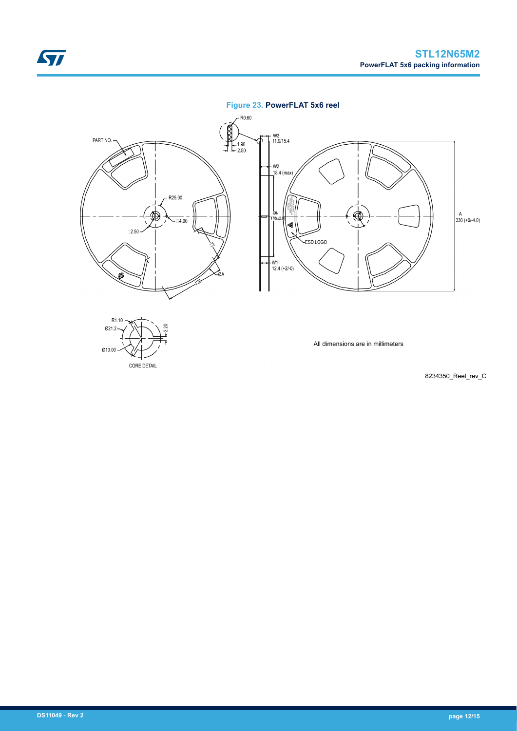### **Figure 23. PowerFLAT 5x6 reel**



8234350\_Reel\_rev\_C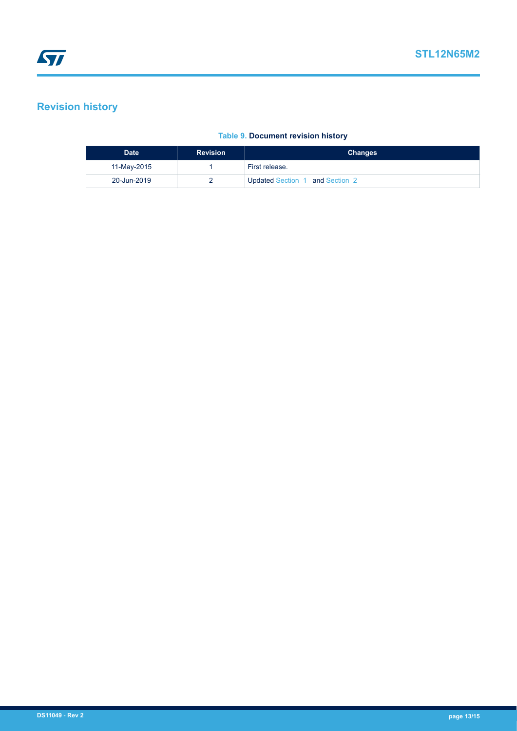# <span id="page-12-0"></span>**Revision history**

### **Table 9. Document revision history**

| <b>Revision</b><br><b>Date</b> |  | <b>Changes</b>                  |
|--------------------------------|--|---------------------------------|
| 11-May-2015                    |  | First release.                  |
| 20-Jun-2019                    |  | Updated Section 1 and Section 2 |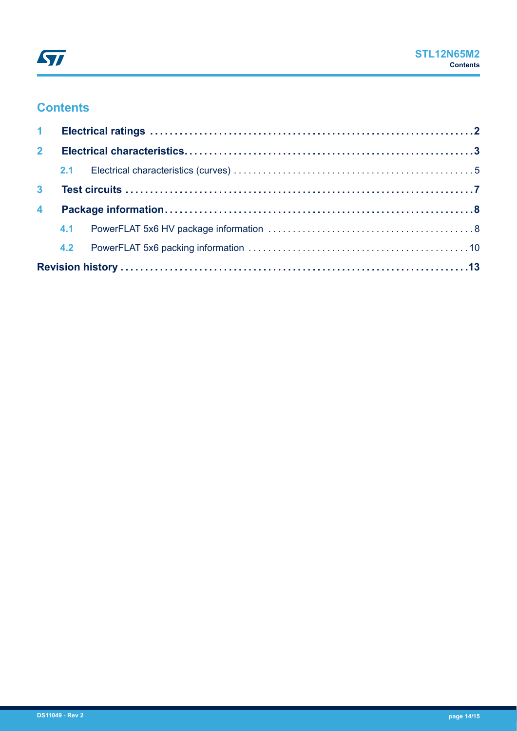## **Contents**

| 2 <sup>7</sup>          |  |  |  |  |
|-------------------------|--|--|--|--|
|                         |  |  |  |  |
| 3 <sup>1</sup>          |  |  |  |  |
| $\overline{\mathbf{4}}$ |  |  |  |  |
|                         |  |  |  |  |
|                         |  |  |  |  |
|                         |  |  |  |  |